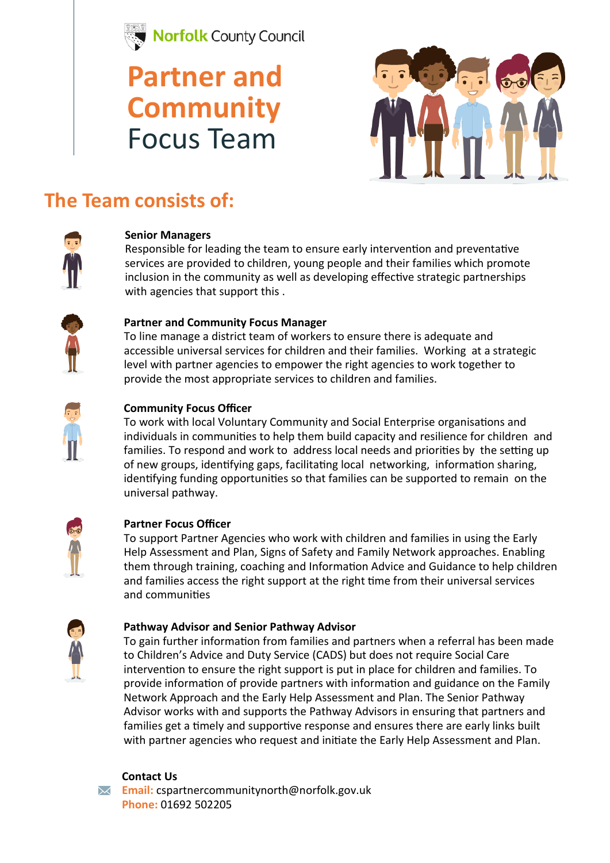

## **Partner and Community**  Focus Team



### **The Team consists of:**



#### **Senior Managers**

Responsible for leading the team to ensure early intervention and preventative services are provided to children, young people and their families which promote inclusion in the community as well as developing effective strategic partnerships with agencies that support this .



#### **Partner and Community Focus Manager**

To line manage a district team of workers to ensure there is adequate and accessible universal services for children and their families. Working at a strategic level with partner agencies to empower the right agencies to work together to provide the most appropriate services to children and families.



#### **Community Focus Officer**

To work with local Voluntary Community and Social Enterprise organisations and individuals in communities to help them build capacity and resilience for children and families. To respond and work to address local needs and priorities by the setting up of new groups, identifying gaps, facilitating local networking, information sharing, identifying funding opportunities so that families can be supported to remain on the universal pathway.



#### **Partner Focus Officer**

To support Partner Agencies who work with children and families in using the Early Help Assessment and Plan, Signs of Safety and Family Network approaches. Enabling them through training, coaching and Information Advice and Guidance to help children and families access the right support at the right time from their universal services and communities



#### **Pathway Advisor and Senior Pathway Advisor**

To gain further information from families and partners when a referral has been made to Children's Advice and Duty Service (CADS) but does not require Social Care intervention to ensure the right support is put in place for children and families. To provide information of provide partners with information and guidance on the Family Network Approach and the Early Help Assessment and Plan. The Senior Pathway Advisor works with and supports the Pathway Advisors in ensuring that partners and families get a timely and supportive response and ensures there are early links built with partner agencies who request and initiate the Early Help Assessment and Plan.



#### **Contact Us**

**Email:** cspartnercommunitynorth@norfolk.gov.uk **Phone:** 01692 502205